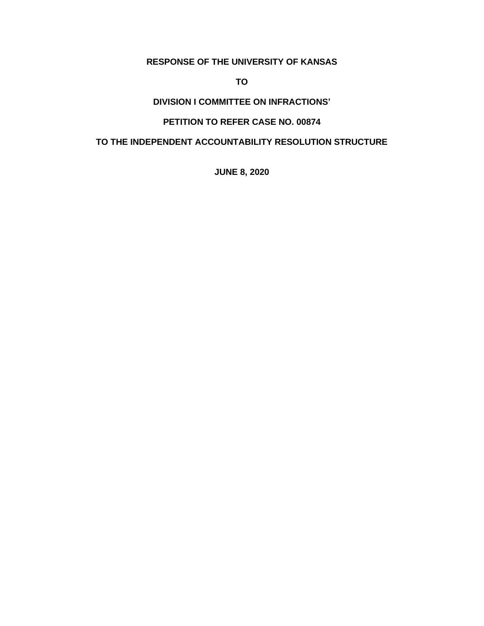## **RESPONSE OF THE UNIVERSITY OF KANSAS**

**TO**

## **DIVISION I COMMITTEE ON INFRACTIONS'**

## **PETITION TO REFER CASE NO. 00874**

## **TO THE INDEPENDENT ACCOUNTABILITY RESOLUTION STRUCTURE**

**JUNE 8, 2020**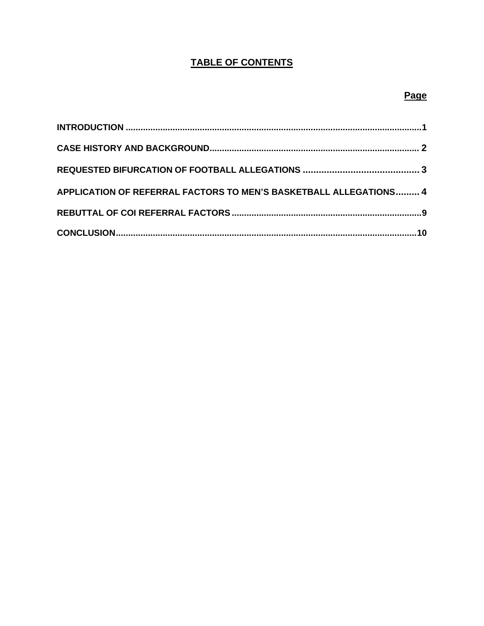# **TABLE OF CONTENTS**

# Page

| APPLICATION OF REFERRAL FACTORS TO MEN'S BASKETBALL ALLEGATIONS 4 |  |
|-------------------------------------------------------------------|--|
|                                                                   |  |
|                                                                   |  |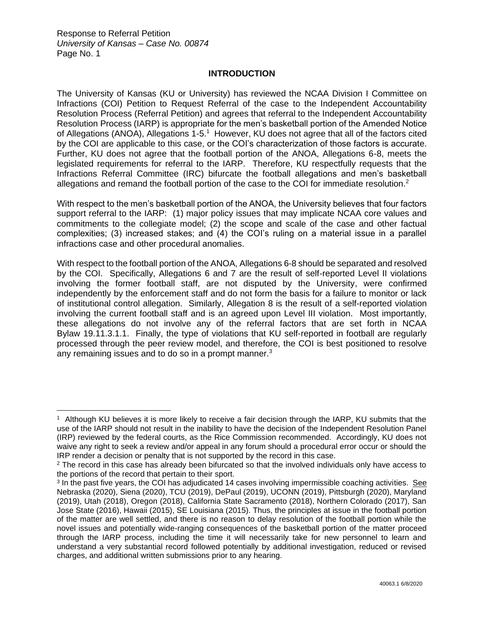#### **INTRODUCTION**

The University of Kansas (KU or University) has reviewed the NCAA Division I Committee on Infractions (COI) Petition to Request Referral of the case to the Independent Accountability Resolution Process (Referral Petition) and agrees that referral to the Independent Accountability Resolution Process (IARP) is appropriate for the men's basketball portion of the Amended Notice of Allegations (ANOA), Allegations 1-5.<sup>1</sup> However, KU does not agree that all of the factors cited by the COI are applicable to this case, or the COI's characterization of those factors is accurate. Further, KU does not agree that the football portion of the ANOA, Allegations 6-8, meets the legislated requirements for referral to the IARP. Therefore, KU respectfully requests that the Infractions Referral Committee (IRC) bifurcate the football allegations and men's basketball allegations and remand the football portion of the case to the COI for immediate resolution.<sup>2</sup>

With respect to the men's basketball portion of the ANOA, the University believes that four factors support referral to the IARP: (1) major policy issues that may implicate NCAA core values and commitments to the collegiate model; (2) the scope and scale of the case and other factual complexities; (3) increased stakes; and (4) the COI's ruling on a material issue in a parallel infractions case and other procedural anomalies.

With respect to the football portion of the ANOA, Allegations 6-8 should be separated and resolved by the COI. Specifically, Allegations 6 and 7 are the result of self-reported Level II violations involving the former football staff, are not disputed by the University, were confirmed independently by the enforcement staff and do not form the basis for a failure to monitor or lack of institutional control allegation. Similarly, Allegation 8 is the result of a self-reported violation involving the current football staff and is an agreed upon Level III violation. Most importantly, these allegations do not involve any of the referral factors that are set forth in NCAA Bylaw 19.11.3.1.1. Finally, the type of violations that KU self-reported in football are regularly processed through the peer review model, and therefore, the COI is best positioned to resolve any remaining issues and to do so in a prompt manner. $3$ 

<sup>1</sup> Although KU believes it is more likely to receive a fair decision through the IARP, KU submits that the use of the IARP should not result in the inability to have the decision of the Independent Resolution Panel (IRP) reviewed by the federal courts, as the Rice Commission recommended. Accordingly, KU does not waive any right to seek a review and/or appeal in any forum should a procedural error occur or should the IRP render a decision or penalty that is not supported by the record in this case.

<sup>&</sup>lt;sup>2</sup> The record in this case has already been bifurcated so that the involved individuals only have access to the portions of the record that pertain to their sport.

<sup>&</sup>lt;sup>3</sup> In the past five years, the COI has adjudicated 14 cases involving impermissible coaching activities. See Nebraska (2020), Siena (2020), TCU (2019), DePaul (2019), UCONN (2019), Pittsburgh (2020), Maryland (2019), Utah (2018), Oregon (2018), California State Sacramento (2018), Northern Colorado (2017), San Jose State (2016), Hawaii (2015), SE Louisiana (2015). Thus, the principles at issue in the football portion of the matter are well settled, and there is no reason to delay resolution of the football portion while the novel issues and potentially wide-ranging consequences of the basketball portion of the matter proceed through the IARP process, including the time it will necessarily take for new personnel to learn and understand a very substantial record followed potentially by additional investigation, reduced or revised charges, and additional written submissions prior to any hearing.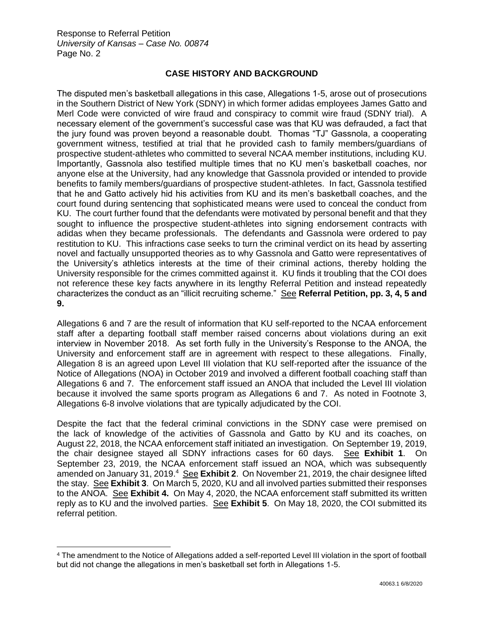## **CASE HISTORY AND BACKGROUND**

The disputed men's basketball allegations in this case, Allegations 1-5, arose out of prosecutions in the Southern District of New York (SDNY) in which former adidas employees James Gatto and Merl Code were convicted of wire fraud and conspiracy to commit wire fraud (SDNY trial). A necessary element of the government's successful case was that KU was defrauded, a fact that the jury found was proven beyond a reasonable doubt. Thomas "TJ" Gassnola, a cooperating government witness, testified at trial that he provided cash to family members/guardians of prospective student-athletes who committed to several NCAA member institutions, including KU. Importantly, Gassnola also testified multiple times that no KU men's basketball coaches, nor anyone else at the University, had any knowledge that Gassnola provided or intended to provide benefits to family members/guardians of prospective student-athletes. In fact, Gassnola testified that he and Gatto actively hid his activities from KU and its men's basketball coaches, and the court found during sentencing that sophisticated means were used to conceal the conduct from KU. The court further found that the defendants were motivated by personal benefit and that they sought to influence the prospective student-athletes into signing endorsement contracts with adidas when they became professionals. The defendants and Gassnola were ordered to pay restitution to KU. This infractions case seeks to turn the criminal verdict on its head by asserting novel and factually unsupported theories as to why Gassnola and Gatto were representatives of the University's athletics interests at the time of their criminal actions, thereby holding the University responsible for the crimes committed against it. KU finds it troubling that the COI does not reference these key facts anywhere in its lengthy Referral Petition and instead repeatedly characterizes the conduct as an "illicit recruiting scheme." See **Referral Petition, pp. 3, 4, 5 and 9.** 

Allegations 6 and 7 are the result of information that KU self-reported to the NCAA enforcement staff after a departing football staff member raised concerns about violations during an exit interview in November 2018. As set forth fully in the University's Response to the ANOA, the University and enforcement staff are in agreement with respect to these allegations. Finally, Allegation 8 is an agreed upon Level III violation that KU self-reported after the issuance of the Notice of Allegations (NOA) in October 2019 and involved a different football coaching staff than Allegations 6 and 7. The enforcement staff issued an ANOA that included the Level III violation because it involved the same sports program as Allegations 6 and 7. As noted in Footnote 3, Allegations 6-8 involve violations that are typically adjudicated by the COI.

Despite the fact that the federal criminal convictions in the SDNY case were premised on the lack of knowledge of the activities of Gassnola and Gatto by KU and its coaches, on August 22, 2018, the NCAA enforcement staff initiated an investigation. On September 19, 2019, the chair designee stayed all SDNY infractions cases for 60 days. See **Exhibit 1**. On September 23, 2019, the NCAA enforcement staff issued an NOA, which was subsequently amended on January 31, 2019.<sup>4</sup> See Exhibit 2. On November 21, 2019, the chair designee lifted the stay. See **Exhibit 3**. On March 5, 2020, KU and all involved parties submitted their responses to the ANOA. See **Exhibit 4.** On May 4, 2020, the NCAA enforcement staff submitted its written reply as to KU and the involved parties. See **Exhibit 5**. On May 18, 2020, the COI submitted its referral petition.

<sup>4</sup> The amendment to the Notice of Allegations added a self-reported Level III violation in the sport of football but did not change the allegations in men's basketball set forth in Allegations 1-5.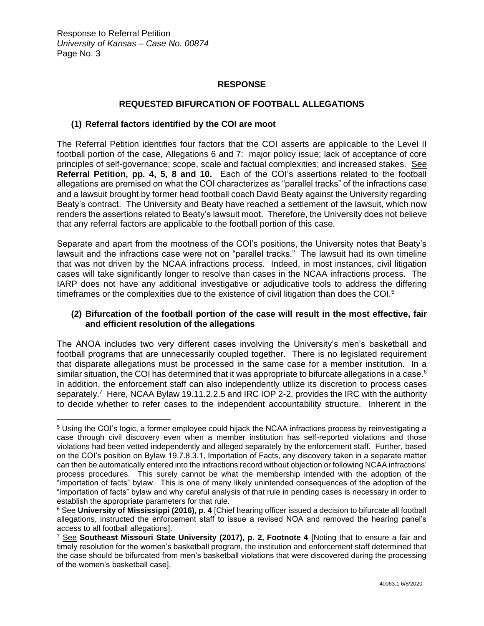### **RESPONSE**

### **REQUESTED BIFURCATION OF FOOTBALL ALLEGATIONS**

#### **(1) Referral factors identified by the COI are moot**

The Referral Petition identifies four factors that the COI asserts are applicable to the Level II football portion of the case, Allegations 6 and 7: major policy issue; lack of acceptance of core principles of self-governance; scope, scale and factual complexities; and increased stakes. See **Referral Petition, pp. 4, 5, 8 and 10.** Each of the COI's assertions related to the football allegations are premised on what the COI characterizes as "parallel tracks" of the infractions case and a lawsuit brought by former head football coach David Beaty against the University regarding Beaty's contract.The University and Beaty have reached a settlement of the lawsuit, which now renders the assertions related to Beaty's lawsuit moot. Therefore, the University does not believe that any referral factors are applicable to the football portion of this case.

Separate and apart from the mootness of the COI's positions, the University notes that Beaty's lawsuit and the infractions case were not on "parallel tracks." The lawsuit had its own timeline that was not driven by the NCAA infractions process. Indeed, in most instances, civil litigation cases will take significantly longer to resolve than cases in the NCAA infractions process. The IARP does not have any additional investigative or adjudicative tools to address the differing timeframes or the complexities due to the existence of civil litigation than does the COI.<sup>5</sup>

#### **(2) Bifurcation of the football portion of the case will result in the most effective, fair and efficient resolution of the allegations**

The ANOA includes two very different cases involving the University's men's basketball and football programs that are unnecessarily coupled together. There is no legislated requirement that disparate allegations must be processed in the same case for a member institution. In a similar situation, the COI has determined that it was appropriate to bifurcate allegations in a case.<sup>6</sup> In addition, the enforcement staff can also independently utilize its discretion to process cases separately.<sup>7</sup> Here, NCAA Bylaw 19.11.2.2.5 and IRC IOP 2-2, provides the IRC with the authority to decide whether to refer cases to the independent accountability structure. Inherent in the

<sup>5</sup> Using the COI's logic, a former employee could hijack the NCAA infractions process by reinvestigating a case through civil discovery even when a member institution has self-reported violations and those violations had been vetted independently and alleged separately by the enforcement staff. Further, based on the COI's position on Bylaw 19.7.8.3.1, Importation of Facts, any discovery taken in a separate matter can then be automatically entered into the infractions record without objection or following NCAA infractions' process procedures. This surely cannot be what the membership intended with the adoption of the "importation of facts" bylaw. This is one of many likely unintended consequences of the adoption of the "importation of facts" bylaw and why careful analysis of that rule in pending cases is necessary in order to establish the appropriate parameters for that rule.

<sup>&</sup>lt;sup>6</sup> See University of Mississippi (2016), p. 4 [Chief hearing officer issued a decision to bifurcate all football allegations, instructed the enforcement staff to issue a revised NOA and removed the hearing panel's access to all football allegations].

<sup>7</sup> See **Southeast Missouri State University (2017), p. 2, Footnote 4** [Noting that to ensure a fair and timely resolution for the women's basketball program, the institution and enforcement staff determined that the case should be bifurcated from men's basketball violations that were discovered during the processing of the women's basketball case].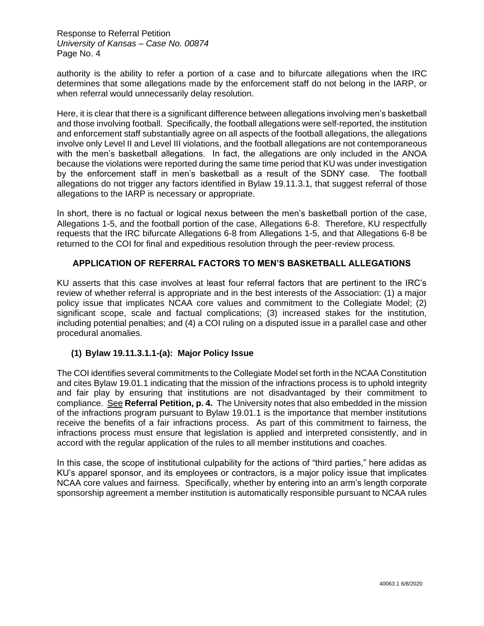authority is the ability to refer a portion of a case and to bifurcate allegations when the IRC determines that some allegations made by the enforcement staff do not belong in the IARP, or when referral would unnecessarily delay resolution.

Here, it is clear that there is a significant difference between allegations involving men's basketball and those involving football. Specifically, the football allegations were self-reported, the institution and enforcement staff substantially agree on all aspects of the football allegations, the allegations involve only Level II and Level III violations, and the football allegations are not contemporaneous with the men's basketball allegations. In fact, the allegations are only included in the ANOA because the violations were reported during the same time period that KU was under investigation by the enforcement staff in men's basketball as a result of the SDNY case. The football allegations do not trigger any factors identified in Bylaw 19.11.3.1, that suggest referral of those allegations to the IARP is necessary or appropriate.

In short, there is no factual or logical nexus between the men's basketball portion of the case, Allegations 1-5, and the football portion of the case, Allegations 6-8. Therefore, KU respectfully requests that the IRC bifurcate Allegations 6-8 from Allegations 1-5, and that Allegations 6-8 be returned to the COI for final and expeditious resolution through the peer-review process.

### **APPLICATION OF REFERRAL FACTORS TO MEN'S BASKETBALL ALLEGATIONS**

KU asserts that this case involves at least four referral factors that are pertinent to the IRC's review of whether referral is appropriate and in the best interests of the Association: (1) a major policy issue that implicates NCAA core values and commitment to the Collegiate Model; (2) significant scope, scale and factual complications; (3) increased stakes for the institution, including potential penalties; and (4) a COI ruling on a disputed issue in a parallel case and other procedural anomalies.

### **(1) Bylaw 19.11.3.1.1-(a): Major Policy Issue**

The COI identifies several commitments to the Collegiate Model set forth in the NCAA Constitution and cites Bylaw 19.01.1 indicating that the mission of the infractions process is to uphold integrity and fair play by ensuring that institutions are not disadvantaged by their commitment to compliance. See **Referral Petition, p. 4.** The University notes that also embedded in the mission of the infractions program pursuant to Bylaw 19.01.1 is the importance that member institutions receive the benefits of a fair infractions process. As part of this commitment to fairness, the infractions process must ensure that legislation is applied and interpreted consistently, and in accord with the regular application of the rules to all member institutions and coaches.

In this case, the scope of institutional culpability for the actions of "third parties," here adidas as KU's apparel sponsor, and its employees or contractors, is a major policy issue that implicates NCAA core values and fairness. Specifically, whether by entering into an arm's length corporate sponsorship agreement a member institution is automatically responsible pursuant to NCAA rules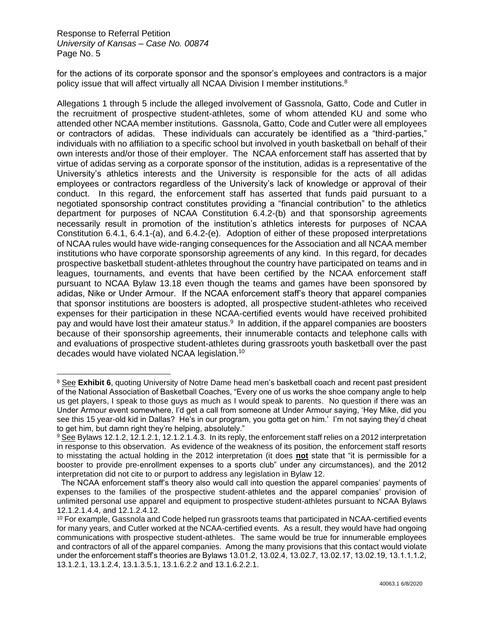for the actions of its corporate sponsor and the sponsor's employees and contractors is a major policy issue that will affect virtually all NCAA Division I member institutions.<sup>8</sup>

Allegations 1 through 5 include the alleged involvement of Gassnola, Gatto, Code and Cutler in the recruitment of prospective student-athletes, some of whom attended KU and some who attended other NCAA member institutions. Gassnola, Gatto, Code and Cutler were all employees or contractors of adidas. These individuals can accurately be identified as a "third-parties," individuals with no affiliation to a specific school but involved in youth basketball on behalf of their own interests and/or those of their employer. The NCAA enforcement staff has asserted that by virtue of adidas serving as a corporate sponsor of the institution, adidas is a representative of the University's athletics interests and the University is responsible for the acts of all adidas employees or contractors regardless of the University's lack of knowledge or approval of their conduct. In this regard, the enforcement staff has asserted that funds paid pursuant to a negotiated sponsorship contract constitutes providing a "financial contribution" to the athletics department for purposes of NCAA Constitution 6.4.2-(b) and that sponsorship agreements necessarily result in promotion of the institution's athletics interests for purposes of NCAA Constitution 6.4.1, 6.4.1-(a), and 6.4.2-(e). Adoption of either of these proposed interpretations of NCAA rules would have wide-ranging consequences for the Association and all NCAA member institutions who have corporate sponsorship agreements of any kind. In this regard, for decades prospective basketball student-athletes throughout the country have participated on teams and in leagues, tournaments, and events that have been certified by the NCAA enforcement staff pursuant to NCAA Bylaw 13.18 even though the teams and games have been sponsored by adidas, Nike or Under Armour. If the NCAA enforcement staff's theory that apparel companies that sponsor institutions are boosters is adopted, all prospective student-athletes who received expenses for their participation in these NCAA-certified events would have received prohibited pay and would have lost their amateur status.<sup>9</sup> In addition, if the apparel companies are boosters because of their sponsorship agreements, their innumerable contacts and telephone calls with and evaluations of prospective student-athletes during grassroots youth basketball over the past decades would have violated NCAA legislation.<sup>10</sup>

<sup>8</sup> See **Exhibit 6**, quoting University of Notre Dame head men's basketball coach and recent past president of the National Association of Basketball Coaches, "Every one of us works the shoe company angle to help us get players, I speak to those guys as much as I would speak to parents. No question if there was an Under Armour event somewhere, I'd get a call from someone at Under Armour saying, 'Hey Mike, did you see this 15 year-old kid in Dallas? He's in our program, you gotta get on him.' I'm not saying they'd cheat to get him, but damn right they're helping, absolutely."

<sup>&</sup>lt;sup>9</sup> See Bylaws 12.1.2, 12.1.2.1, 12.1.2.1.4.3. In its reply, the enforcement staff relies on a 2012 interpretation in response to this observation. As evidence of the weakness of its position, the enforcement staff resorts to misstating the actual holding in the 2012 interpretation (it does **not** state that "it is permissible for a booster to provide pre-enrollment expenses to a sports club" under any circumstances), and the 2012 interpretation did not cite to or purport to address any legislation in Bylaw 12.

The NCAA enforcement staff's theory also would call into question the apparel companies' payments of expenses to the families of the prospective student-athletes and the apparel companies' provision of unlimited personal use apparel and equipment to prospective student-athletes pursuant to NCAA Bylaws 12.1.2.1.4.4, and 12.1.2.4.12.

<sup>&</sup>lt;sup>10</sup> For example, Gassnola and Code helped run grassroots teams that participated in NCAA-certified events for many years, and Cutler worked at the NCAA-certified events. As a result, they would have had ongoing communications with prospective student-athletes. The same would be true for innumerable employees and contractors of all of the apparel companies. Among the many provisions that this contact would violate under the enforcement staff's theories are Bylaws 13.01.2, 13.02.4, 13.02.7, 13.02.17, 13.02.19, 13.1.1.1.2, 13.1.2.1, 13.1.2.4, 13.1.3.5.1, 13.1.6.2.2 and 13.1.6.2.2.1.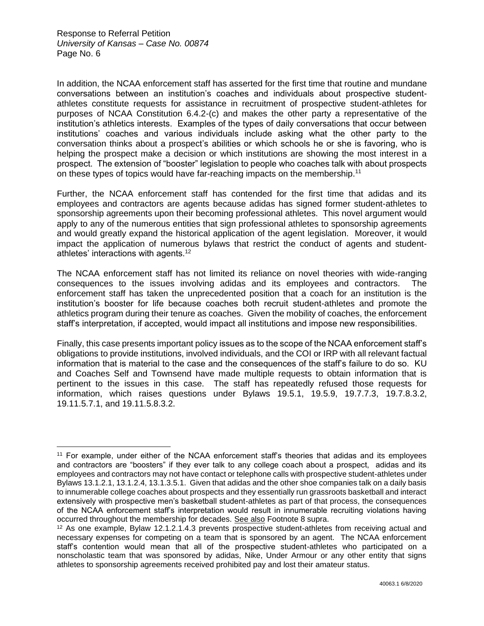In addition, the NCAA enforcement staff has asserted for the first time that routine and mundane conversations between an institution's coaches and individuals about prospective studentathletes constitute requests for assistance in recruitment of prospective student-athletes for purposes of NCAA Constitution 6.4.2-(c) and makes the other party a representative of the institution's athletics interests. Examples of the types of daily conversations that occur between institutions' coaches and various individuals include asking what the other party to the conversation thinks about a prospect's abilities or which schools he or she is favoring, who is helping the prospect make a decision or which institutions are showing the most interest in a prospect. The extension of "booster" legislation to people who coaches talk with about prospects on these types of topics would have far-reaching impacts on the membership.<sup>11</sup>

Further, the NCAA enforcement staff has contended for the first time that adidas and its employees and contractors are agents because adidas has signed former student-athletes to sponsorship agreements upon their becoming professional athletes. This novel argument would apply to any of the numerous entities that sign professional athletes to sponsorship agreements and would greatly expand the historical application of the agent legislation. Moreover, it would impact the application of numerous bylaws that restrict the conduct of agents and studentathletes' interactions with agents. $12$ 

The NCAA enforcement staff has not limited its reliance on novel theories with wide-ranging consequences to the issues involving adidas and its employees and contractors. The enforcement staff has taken the unprecedented position that a coach for an institution is the institution's booster for life because coaches both recruit student-athletes and promote the athletics program during their tenure as coaches. Given the mobility of coaches, the enforcement staff's interpretation, if accepted, would impact all institutions and impose new responsibilities.

Finally, this case presents important policy issues as to the scope of the NCAA enforcement staff's obligations to provide institutions, involved individuals, and the COI or IRP with all relevant factual information that is material to the case and the consequences of the staff's failure to do so. KU and Coaches Self and Townsend have made multiple requests to obtain information that is pertinent to the issues in this case. The staff has repeatedly refused those requests for information, which raises questions under Bylaws 19.5.1, 19.5.9, 19.7.7.3, 19.7.8.3.2, 19.11.5.7.1, and 19.11.5.8.3.2.

<sup>11</sup> For example, under either of the NCAA enforcement staff's theories that adidas and its employees and contractors are "boosters" if they ever talk to any college coach about a prospect, adidas and its employees and contractors may not have contact or telephone calls with prospective student-athletes under Bylaws 13.1.2.1, 13.1.2.4, 13.1.3.5.1. Given that adidas and the other shoe companies talk on a daily basis to innumerable college coaches about prospects and they essentially run grassroots basketball and interact extensively with prospective men's basketball student-athletes as part of that process, the consequences of the NCAA enforcement staff's interpretation would result in innumerable recruiting violations having occurred throughout the membership for decades. See also Footnote 8 supra.

<sup>12</sup> As one example, Bylaw 12.1.2.1.4.3 prevents prospective student-athletes from receiving actual and necessary expenses for competing on a team that is sponsored by an agent. The NCAA enforcement staff's contention would mean that all of the prospective student-athletes who participated on a nonscholastic team that was sponsored by adidas, Nike, Under Armour or any other entity that signs athletes to sponsorship agreements received prohibited pay and lost their amateur status.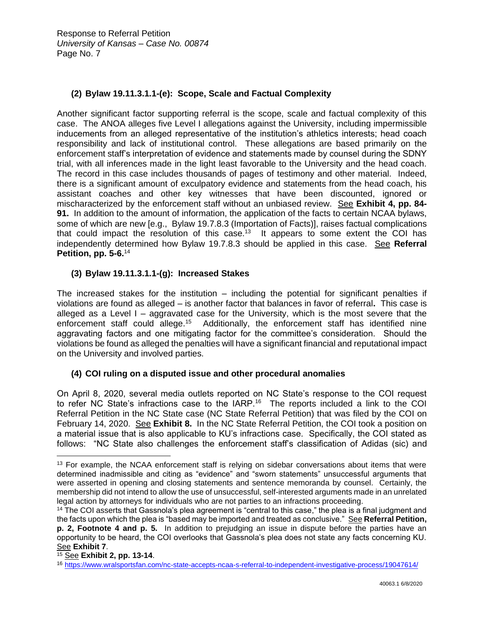## **(2) Bylaw 19.11.3.1.1-(e): Scope, Scale and Factual Complexity**

Another significant factor supporting referral is the scope, scale and factual complexity of this case. The ANOA alleges five Level I allegations against the University, including impermissible inducements from an alleged representative of the institution's athletics interests; head coach responsibility and lack of institutional control. These allegations are based primarily on the enforcement staff's interpretation of evidence and statements made by counsel during the SDNY trial, with all inferences made in the light least favorable to the University and the head coach. The record in this case includes thousands of pages of testimony and other material. Indeed, there is a significant amount of exculpatory evidence and statements from the head coach, his assistant coaches and other key witnesses that have been discounted, ignored or mischaracterized by the enforcement staff without an unbiased review. See **Exhibit 4, pp. 84- 91.** In addition to the amount of information, the application of the facts to certain NCAA bylaws, some of which are new [e.g., Bylaw 19.7.8.3 (Importation of Facts)], raises factual complications that could impact the resolution of this case.<sup>13</sup> It appears to some extent the COI has independently determined how Bylaw 19.7.8.3 should be applied in this case. See **Referral Petition, pp. 5-6.**<sup>14</sup>

## **(3) Bylaw 19.11.3.1.1-(g): Increased Stakes**

The increased stakes for the institution – including the potential for significant penalties if violations are found as alleged – is another factor that balances in favor of referral**.** This case is alleged as a Level I – aggravated case for the University, which is the most severe that the enforcement staff could allege.<sup>15</sup> Additionally, the enforcement staff has identified nine aggravating factors and one mitigating factor for the committee's consideration. Should the violations be found as alleged the penalties will have a significant financial and reputational impact on the University and involved parties.

## **(4) COI ruling on a disputed issue and other procedural anomalies**

On April 8, 2020, several media outlets reported on NC State's response to the COI request to refer NC State's infractions case to the IARP.<sup>16</sup> The reports included a link to the COI Referral Petition in the NC State case (NC State Referral Petition) that was filed by the COI on February 14, 2020. See **Exhibit 8.** In the NC State Referral Petition, the COI took a position on a material issue that is also applicable to KU's infractions case. Specifically, the COI stated as follows: "NC State also challenges the enforcement staff's classification of Adidas (sic) and

<sup>&</sup>lt;sup>13</sup> For example, the NCAA enforcement staff is relying on sidebar conversations about items that were determined inadmissible and citing as "evidence" and "sworn statements" unsuccessful arguments that were asserted in opening and closing statements and sentence memoranda by counsel. Certainly, the membership did not intend to allow the use of unsuccessful, self-interested arguments made in an unrelated legal action by attorneys for individuals who are not parties to an infractions proceeding.

<sup>&</sup>lt;sup>14</sup> The COI asserts that Gassnola's plea agreement is "central to this case," the plea is a final judgment and the facts upon which the plea is "based may be imported and treated as conclusive." See **Referral Petition, p. 2, Footnote 4 and p. 5.** In addition to prejudging an issue in dispute before the parties have an opportunity to be heard, the COI overlooks that Gassnola's plea does not state any facts concerning KU. See **Exhibit 7**.

<sup>15</sup> See **Exhibit 2, pp. 13-14**.

<sup>16</sup> <https://www.wralsportsfan.com/nc-state-accepts-ncaa-s-referral-to-independent-investigative-process/19047614/>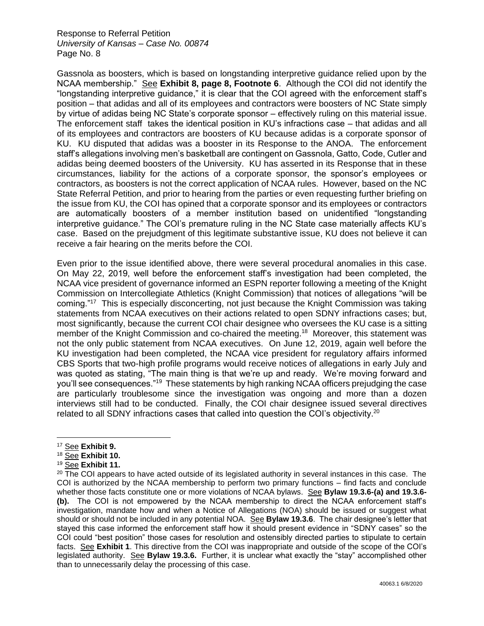Gassnola as boosters, which is based on longstanding interpretive guidance relied upon by the NCAA membership." See **Exhibit 8, page 8, Footnote 6**. Although the COI did not identify the "longstanding interpretive guidance," it is clear that the COI agreed with the enforcement staff's position – that adidas and all of its employees and contractors were boosters of NC State simply by virtue of adidas being NC State's corporate sponsor – effectively ruling on this material issue. The enforcement staff takes the identical position in KU's infractions case – that adidas and all of its employees and contractors are boosters of KU because adidas is a corporate sponsor of KU. KU disputed that adidas was a booster in its Response to the ANOA. The enforcement staff's allegations involving men's basketball are contingent on Gassnola, Gatto, Code, Cutler and adidas being deemed boosters of the University. KU has asserted in its Response that in these circumstances, liability for the actions of a corporate sponsor, the sponsor's employees or contractors, as boosters is not the correct application of NCAA rules. However, based on the NC State Referral Petition, and prior to hearing from the parties or even requesting further briefing on the issue from KU, the COI has opined that a corporate sponsor and its employees or contractors are automatically boosters of a member institution based on unidentified "longstanding interpretive guidance." The COI's premature ruling in the NC State case materially affects KU's case. Based on the prejudgment of this legitimate substantive issue, KU does not believe it can receive a fair hearing on the merits before the COI.

Even prior to the issue identified above, there were several procedural anomalies in this case. On May 22, 2019, well before the enforcement staff's investigation had been completed, the NCAA vice president of governance informed an ESPN reporter following a meeting of the Knight Commission on Intercollegiate Athletics (Knight Commission) that notices of allegations "will be coming."<sup>17</sup> This is especially disconcerting, not just because the Knight Commission was taking statements from NCAA executives on their actions related to open SDNY infractions cases; but, most significantly, because the current COI chair designee who oversees the KU case is a sitting member of the Knight Commission and co-chaired the meeting.<sup>18</sup> Moreover, this statement was not the only public statement from NCAA executives. On June 12, 2019, again well before the KU investigation had been completed, the NCAA vice president for regulatory affairs informed CBS Sports that two-high profile programs would receive notices of allegations in early July and was quoted as stating, "The main thing is that we're up and ready. We're moving forward and you'll see consequences."<sup>19</sup> These statements by high ranking NCAA officers prejudging the case are particularly troublesome since the investigation was ongoing and more than a dozen interviews still had to be conducted. Finally, the COI chair designee issued several directives related to all SDNY infractions cases that called into question the COI's objectivity.<sup>20</sup>

<sup>17</sup> See **Exhibit 9.**

<sup>18</sup> See **Exhibit 10.**

<sup>19</sup> See **Exhibit 11.**

<sup>&</sup>lt;sup>20</sup> The COI appears to have acted outside of its legislated authority in several instances in this case. The COI is authorized by the NCAA membership to perform two primary functions – find facts and conclude whether those facts constitute one or more violations of NCAA bylaws. See **Bylaw 19.3.6-(a) and 19.3.6- (b).** The COI is not empowered by the NCAA membership to direct the NCAA enforcement staff's investigation, mandate how and when a Notice of Allegations (NOA) should be issued or suggest what should or should not be included in any potential NOA. See **Bylaw 19.3.6**. The chair designee's letter that stayed this case informed the enforcement staff how it should present evidence in "SDNY cases" so the COI could "best position" those cases for resolution and ostensibly directed parties to stipulate to certain facts. See **Exhibit 1**. This directive from the COI was inappropriate and outside of the scope of the COI's legislated authority. See **Bylaw 19.3.6.** Further, it is unclear what exactly the "stay" accomplished other than to unnecessarily delay the processing of this case.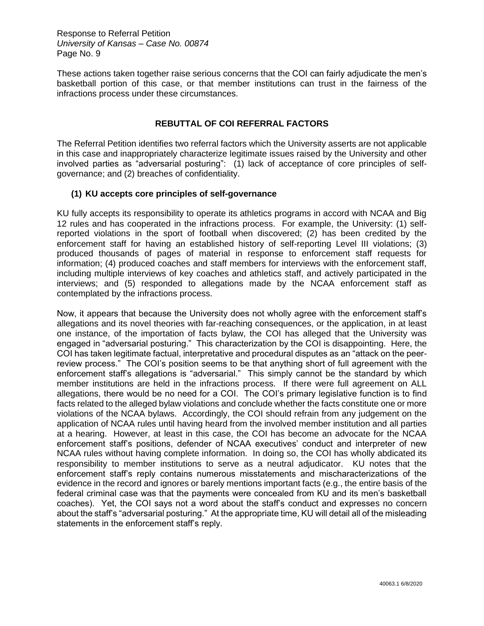These actions taken together raise serious concerns that the COI can fairly adjudicate the men's basketball portion of this case, or that member institutions can trust in the fairness of the infractions process under these circumstances.

#### **REBUTTAL OF COI REFERRAL FACTORS**

The Referral Petition identifies two referral factors which the University asserts are not applicable in this case and inappropriately characterize legitimate issues raised by the University and other involved parties as "adversarial posturing": (1) lack of acceptance of core principles of selfgovernance; and (2) breaches of confidentiality.

#### **(1) KU accepts core principles of self-governance**

KU fully accepts its responsibility to operate its athletics programs in accord with NCAA and Big 12 rules and has cooperated in the infractions process. For example, the University: (1) selfreported violations in the sport of football when discovered; (2) has been credited by the enforcement staff for having an established history of self-reporting Level III violations; (3) produced thousands of pages of material in response to enforcement staff requests for information; (4) produced coaches and staff members for interviews with the enforcement staff, including multiple interviews of key coaches and athletics staff, and actively participated in the interviews; and (5) responded to allegations made by the NCAA enforcement staff as contemplated by the infractions process.

Now, it appears that because the University does not wholly agree with the enforcement staff's allegations and its novel theories with far-reaching consequences, or the application, in at least one instance, of the importation of facts bylaw, the COI has alleged that the University was engaged in "adversarial posturing." This characterization by the COI is disappointing. Here, the COI has taken legitimate factual, interpretative and procedural disputes as an "attack on the peerreview process." The COI's position seems to be that anything short of full agreement with the enforcement staff's allegations is "adversarial." This simply cannot be the standard by which member institutions are held in the infractions process. If there were full agreement on ALL allegations, there would be no need for a COI. The COI's primary legislative function is to find facts related to the alleged bylaw violations and conclude whether the facts constitute one or more violations of the NCAA bylaws. Accordingly, the COI should refrain from any judgement on the application of NCAA rules until having heard from the involved member institution and all parties at a hearing. However, at least in this case, the COI has become an advocate for the NCAA enforcement staff's positions, defender of NCAA executives' conduct and interpreter of new NCAA rules without having complete information. In doing so, the COI has wholly abdicated its responsibility to member institutions to serve as a neutral adjudicator. KU notes that the enforcement staff's reply contains numerous misstatements and mischaracterizations of the evidence in the record and ignores or barely mentions important facts (e.g., the entire basis of the federal criminal case was that the payments were concealed from KU and its men's basketball coaches). Yet, the COI says not a word about the staff's conduct and expresses no concern about the staff's "adversarial posturing." At the appropriate time, KU will detail all of the misleading statements in the enforcement staff's reply.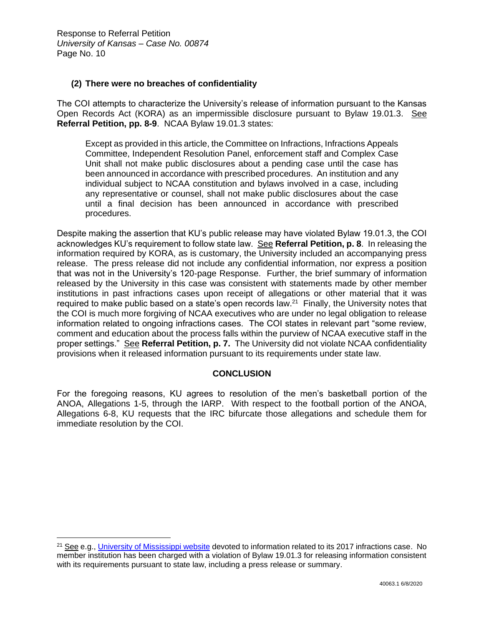#### **(2) There were no breaches of confidentiality**

The COI attempts to characterize the University's release of information pursuant to the Kansas Open Records Act (KORA) as an impermissible disclosure pursuant to Bylaw 19.01.3. See **Referral Petition, pp. 8-9**. NCAA Bylaw 19.01.3 states:

Except as provided in this article, the Committee on Infractions, Infractions Appeals Committee, Independent Resolution Panel, enforcement staff and Complex Case Unit shall not make public disclosures about a pending case until the case has been announced in accordance with prescribed procedures. An institution and any individual subject to NCAA constitution and bylaws involved in a case, including any representative or counsel, shall not make public disclosures about the case until a final decision has been announced in accordance with prescribed procedures.

Despite making the assertion that KU's public release may have violated Bylaw 19.01.3, the COI acknowledges KU's requirement to follow state law. See **Referral Petition, p. 8**. In releasing the information required by KORA, as is customary, the University included an accompanying press release. The press release did not include any confidential information, nor express a position that was not in the University's 120-page Response. Further, the brief summary of information released by the University in this case was consistent with statements made by other member institutions in past infractions cases upon receipt of allegations or other material that it was required to make public based on a state's open records law. $21$  Finally, the University notes that the COI is much more forgiving of NCAA executives who are under no legal obligation to release information related to ongoing infractions cases. The COI states in relevant part "some review, comment and education about the process falls within the purview of NCAA executive staff in the proper settings." See **Referral Petition, p. 7.** The University did not violate NCAA confidentiality provisions when it released information pursuant to its requirements under state law.

#### **CONCLUSION**

For the foregoing reasons, KU agrees to resolution of the men's basketball portion of the ANOA, Allegations 1-5, through the IARP. With respect to the football portion of the ANOA, Allegations 6-8, KU requests that the IRC bifurcate those allegations and schedule them for immediate resolution by the COI.

<sup>&</sup>lt;sup>21</sup> See e.g., [University of Mississippi website](https://athleticsworking.wp2.olemiss.edu/statements-and-releases/) devoted to information related to its 2017 infractions case. No member institution has been charged with a violation of Bylaw 19.01.3 for releasing information consistent with its requirements pursuant to state law, including a press release or summary.